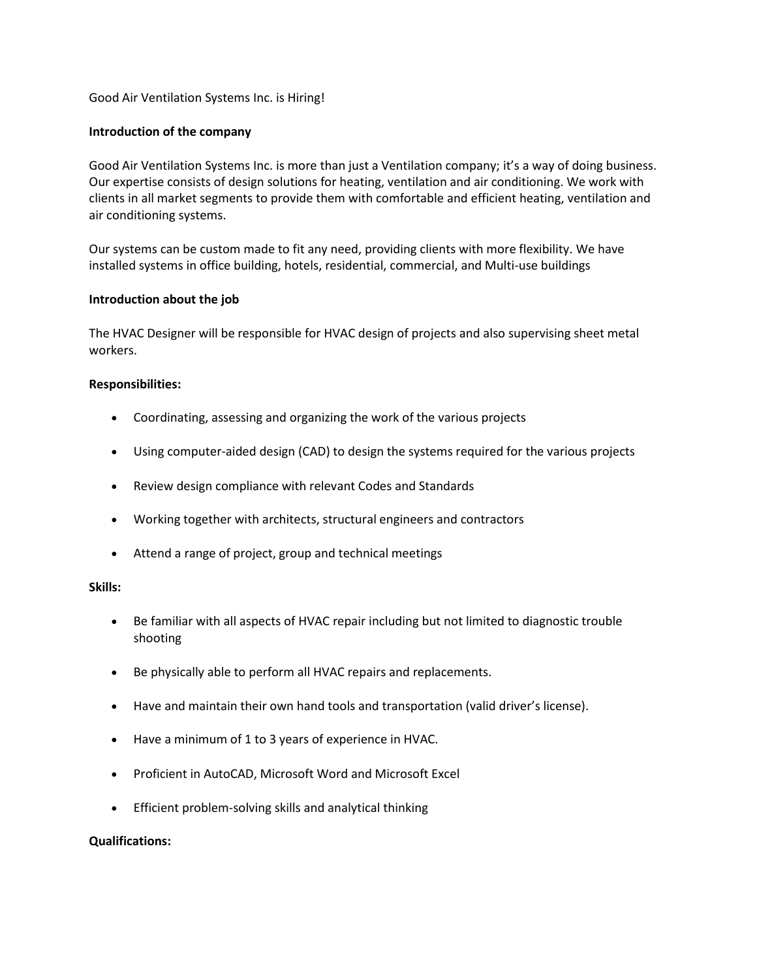Good Air Ventilation Systems Inc. is Hiring!

### **Introduction of the company**

Good Air Ventilation Systems Inc. is more than just a Ventilation company; it's a way of doing business. Our expertise consists of design solutions for heating, ventilation and air conditioning. We work with clients in all market segments to provide them with comfortable and efficient heating, ventilation and air conditioning systems.

Our systems can be custom made to fit any need, providing clients with more flexibility. We have installed systems in office building, hotels, residential, commercial, and Multi-use buildings

#### **Introduction about the job**

The HVAC Designer will be responsible for HVAC design of projects and also supervising sheet metal workers.

#### **Responsibilities:**

- Coordinating, assessing and organizing the work of the various projects
- Using computer-aided design (CAD) to design the systems required for the various projects
- Review design compliance with relevant Codes and Standards
- Working together with architects, structural engineers and contractors
- Attend a range of project, group and technical meetings

#### **Skills:**

- Be familiar with all aspects of HVAC repair including but not limited to diagnostic trouble shooting
- Be physically able to perform all HVAC repairs and replacements.
- Have and maintain their own hand tools and transportation (valid driver's license).
- Have a minimum of 1 to 3 years of experience in HVAC.
- Proficient in AutoCAD, Microsoft Word and Microsoft Excel
- Efficient problem-solving skills and analytical thinking

#### **Qualifications:**